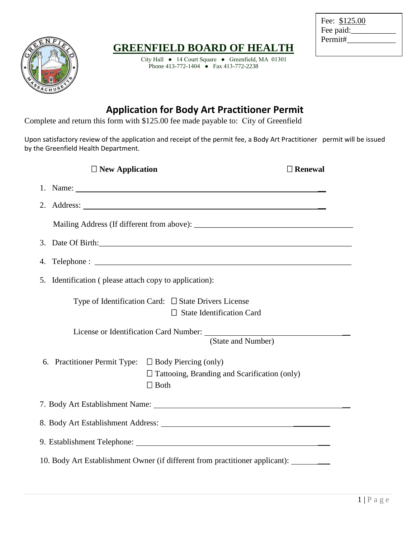

## **GREENFIELD BOARD OF HEALTH**

City Hall ● 14 Court Square ● Greenfield, MA 01301 Phone 413-772-1404 ● Fax 413-772-2238

| Fee: \$125.00 |  |
|---------------|--|
| Fee paid:     |  |
| Permit#       |  |

## **Application for Body Art Practitioner Permit**

Complete and return this form with \$125.00 fee made payable to: City of Greenfield

Upon satisfactory review of the application and receipt of the permit fee, a Body Art Practitioner permit will be issued by the Greenfield Health Department.

|                                                                                               | $\Box$ New Application                                   |                                                                                                                                                                                                                                                                                                                                                                                                             | $\Box$ Renewal |  |  |  |
|-----------------------------------------------------------------------------------------------|----------------------------------------------------------|-------------------------------------------------------------------------------------------------------------------------------------------------------------------------------------------------------------------------------------------------------------------------------------------------------------------------------------------------------------------------------------------------------------|----------------|--|--|--|
|                                                                                               |                                                          | 1. Name: $\frac{1}{\sqrt{1-\frac{1}{2}}\sqrt{1-\frac{1}{2}}\sqrt{1-\frac{1}{2}}\sqrt{1-\frac{1}{2}}\sqrt{1-\frac{1}{2}}\sqrt{1-\frac{1}{2}}\sqrt{1-\frac{1}{2}}\sqrt{1-\frac{1}{2}}\sqrt{1-\frac{1}{2}}\sqrt{1-\frac{1}{2}}\sqrt{1-\frac{1}{2}}\sqrt{1-\frac{1}{2}}\sqrt{1-\frac{1}{2}}\sqrt{1-\frac{1}{2}}\sqrt{1-\frac{1}{2}}\sqrt{1-\frac{1}{2}}\sqrt{1-\frac{1}{2}}\sqrt{1-\frac{1}{2}}\sqrt{1-\frac{1$ |                |  |  |  |
|                                                                                               |                                                          |                                                                                                                                                                                                                                                                                                                                                                                                             |                |  |  |  |
|                                                                                               |                                                          |                                                                                                                                                                                                                                                                                                                                                                                                             |                |  |  |  |
|                                                                                               |                                                          |                                                                                                                                                                                                                                                                                                                                                                                                             |                |  |  |  |
| 4.                                                                                            |                                                          |                                                                                                                                                                                                                                                                                                                                                                                                             |                |  |  |  |
|                                                                                               | 5. Identification (please attach copy to application):   |                                                                                                                                                                                                                                                                                                                                                                                                             |                |  |  |  |
| Type of Identification Card: $\Box$ State Drivers License<br>$\Box$ State Identification Card |                                                          |                                                                                                                                                                                                                                                                                                                                                                                                             |                |  |  |  |
|                                                                                               | (State and Number)                                       |                                                                                                                                                                                                                                                                                                                                                                                                             |                |  |  |  |
|                                                                                               | 6. Practitioner Permit Type: $\Box$ Body Piercing (only) | □ Tattooing, Branding and Scarification (only)<br>$\Box$ Both                                                                                                                                                                                                                                                                                                                                               |                |  |  |  |
|                                                                                               |                                                          |                                                                                                                                                                                                                                                                                                                                                                                                             |                |  |  |  |
|                                                                                               |                                                          |                                                                                                                                                                                                                                                                                                                                                                                                             |                |  |  |  |
|                                                                                               |                                                          |                                                                                                                                                                                                                                                                                                                                                                                                             |                |  |  |  |
| 10. Body Art Establishment Owner (if different from practitioner applicant): ______           |                                                          |                                                                                                                                                                                                                                                                                                                                                                                                             |                |  |  |  |